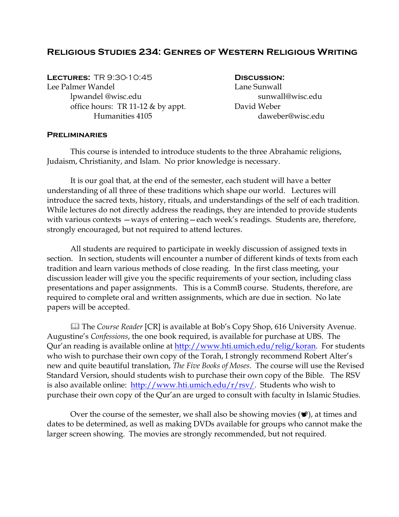## **Religious Studies 234: Genres of Western Religious Writing**

**Lectures:** TR 9:30-10:45 **Discussion:**  Lee Palmer Wandel Lane Sunwall lpwandel @wisc.edu sunwall@wisc.edu office hours: TR 11-12 & by appt. David Weber Humanities 4105 daweber@wisc.edu

#### **Preliminaries**

 This course is intended to introduce students to the three Abrahamic religions, Judaism, Christianity, and Islam. No prior knowledge is necessary.

 It is our goal that, at the end of the semester, each student will have a better understanding of all three of these traditions which shape our world. Lectures will introduce the sacred texts, history, rituals, and understandings of the self of each tradition. While lectures do not directly address the readings, they are intended to provide students with various contexts —ways of entering—each week's readings. Students are, therefore, strongly encouraged, but not required to attend lectures.

 All students are required to participate in weekly discussion of assigned texts in section. In section, students will encounter a number of different kinds of texts from each tradition and learn various methods of close reading. In the first class meeting, your discussion leader will give you the specific requirements of your section, including class presentations and paper assignments. This is a CommB course. Students, therefore, are required to complete oral and written assignments, which are due in section. No late papers will be accepted.

 The *Course Reader* [CR] is available at Bob's Copy Shop, 616 University Avenue. Augustine's *Confessions*, the one book required, is available for purchase at UBS. The Qur'an reading is available online at [http://www.hti.umich.edu/relig/koran.](http://www.hti.umich.edu/relig/koran) For students who wish to purchase their own copy of the Torah, I strongly recommend Robert Alter's new and quite beautiful translation, *The Five Books of Moses*. The course will use the Revised Standard Version, should students wish to purchase their own copy of the Bible. The RSV is also available online: [http://www.hti.umich.edu/r/rsv/.](http://www.hti.umich.edu/r/rsv/) Students who wish to purchase their own copy of the Qur'an are urged to consult with faculty in Islamic Studies.

Over the course of the semester, we shall also be showing movies  $(\mathcal{P})$ , at times and dates to be determined, as well as making DVDs available for groups who cannot make the larger screen showing. The movies are strongly recommended, but not required.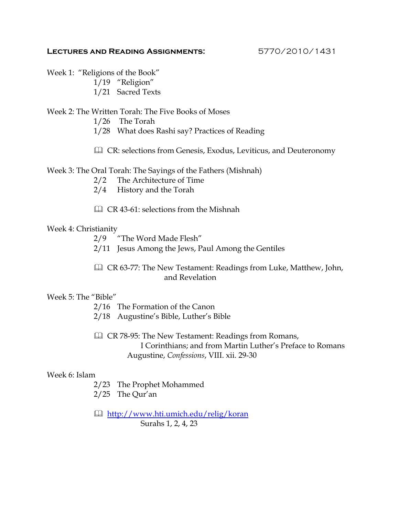#### **Lectures and Reading Assignments:** 5770/2010/1431

Week 1: "Religions of the Book" 1/19 "Religion" 1/21 Sacred Texts

Week 2: The Written Torah: The Five Books of Moses 1/26 The Torah

- 
- 1/28 What does Rashi say? Practices of Reading
- CR: selections from Genesis, Exodus, Leviticus, and Deuteronomy

Week 3: The Oral Torah: The Sayings of the Fathers (Mishnah)

- 2/2 The Architecture of Time
- 2/4 History and the Torah
- CR 43-61: selections from the Mishnah

## Week 4: Christianity

2/9 "The Word Made Flesh"

2/11 Jesus Among the Jews, Paul Among the Gentiles

 CR 63-77: The New Testament: Readings from Luke, Matthew, John, and Revelation

#### Week 5: The "Bible"

- 2/16 The Formation of the Canon
- 2/18 Augustine's Bible, Luther's Bible
- **Q CR 78-95: The New Testament: Readings from Romans,** I Corinthians; and from Martin Luther's Preface to Romans Augustine, *Confessions*, VIII. xii. 29-30

#### Week 6: Islam

- 2/23 The Prophet Mohammed
- 2/25 The Qur'an
- **<http://www.hti.umich.edu/relig/koran>** Surahs 1, 2, 4, 23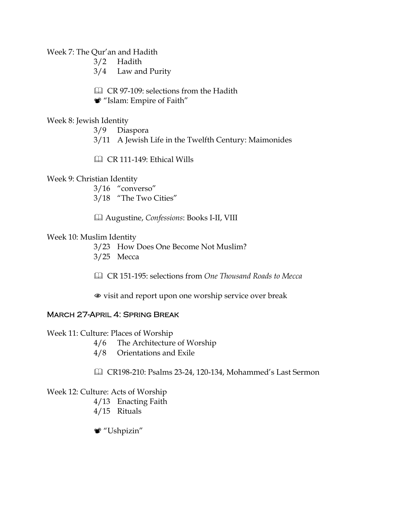Week 7: The Qur'an and Hadith

3/2 Hadith

3/4 Law and Purity

CR 97-109: selections from the Hadith

"Islam: Empire of Faith"

## Week 8: Jewish Identity

3/9 Diaspora 3/11 A Jewish Life in the Twelfth Century: Maimonides

CR 111-149: Ethical Wills

## Week 9: Christian Identity

3/16 "converso" 3/18 "The Two Cities"

 Augustine, *Confessions*: Books I-II, VIII

#### Week 10: Muslim Identity

3/23 How Does One Become Not Muslim? 3/25 Mecca

 CR 151-195: selections from *One Thousand Roads to Mecca*

 $\bullet$  visit and report upon one worship service over break

# March 27-April 4: Spring Break

Week 11: Culture: Places of Worship

- 4/6 The Architecture of Worship
- 4/8 Orientations and Exile
- CR198-210: Psalms 23-24, 120-134, Mohammed's Last Sermon

# Week 12: Culture: Acts of Worship

- 4/13 Enacting Faith
- 4/15 Rituals

"Ushpizin"